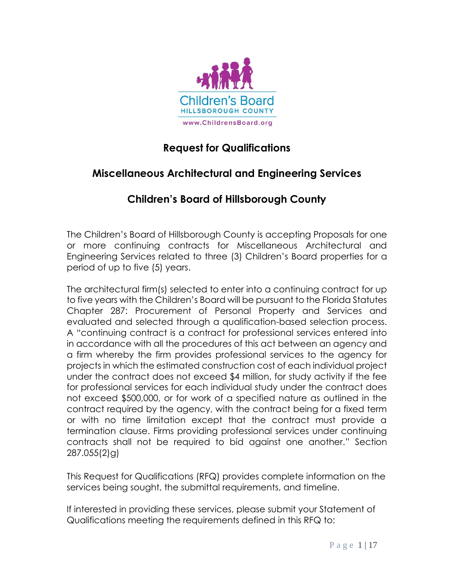

## **Request for Qualifications**

## **Miscellaneous Architectural and Engineering Services**

## **Children's Board of Hillsborough County**

The Children's Board of Hillsborough County is accepting Proposals for one or more continuing contracts for Miscellaneous Architectural and Engineering Services related to three (3) Children's Board properties for a period of up to five (5) years.

The architectural firm(s) selected to enter into a continuing contract for up to five years with the Children's Board will be pursuant to the Florida Statutes Chapter 287: Procurement of Personal Property and Services and evaluated and selected through a qualification-based selection process. A "continuing contract is a contract for professional services entered into in accordance with all the procedures of this act between an agency and a firm whereby the firm provides professional services to the agency for projects in which the estimated construction cost of each individual project under the contract does not exceed \$4 million, for study activity if the fee for professional services for each individual study under the contract does not exceed \$500,000, or for work of a specified nature as outlined in the contract required by the agency, with the contract being for a fixed term or with no time limitation except that the contract must provide a termination clause. Firms providing professional services under continuing contracts shall not be required to bid against one another." Section 287.055(2)g)

This Request for Qualifications (RFQ) provides complete information on the services being sought, the submittal requirements, and timeline.

If interested in providing these services, please submit your Statement of Qualifications meeting the requirements defined in this RFQ to: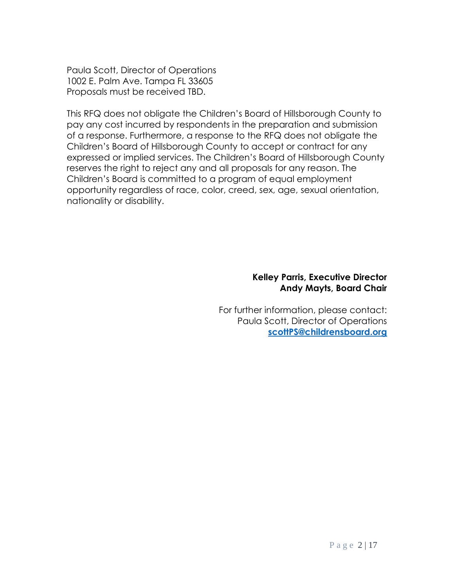Paula Scott, Director of Operations 1002 E. Palm Ave. Tampa FL 33605 Proposals must be received TBD.

This RFQ does not obligate the Children's Board of Hillsborough County to pay any cost incurred by respondents in the preparation and submission of a response. Furthermore, a response to the RFQ does not obligate the Children's Board of Hillsborough County to accept or contract for any expressed or implied services. The Children's Board of Hillsborough County reserves the right to reject any and all proposals for any reason. The Children's Board is committed to a program of equal employment opportunity regardless of race, color, creed, sex, age, sexual orientation, nationality or disability.

#### **Kelley Parris, Executive Director Andy Mayts, Board Chair**

For further information, please contact: Paula Scott, Director of Operations **[scottPS@childrensboard.org](mailto:scottPS@childrensboard.org)**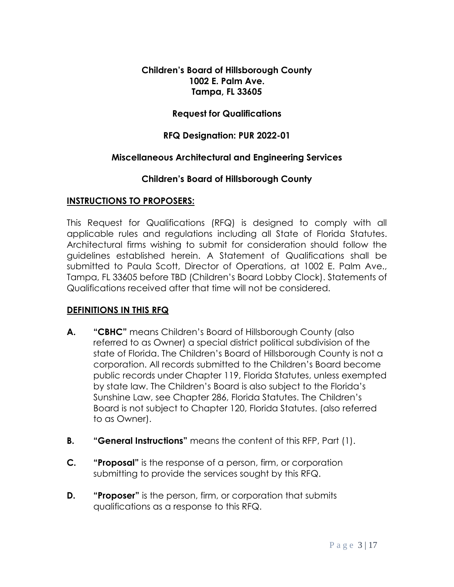#### **Children's Board of Hillsborough County 1002 E. Palm Ave. Tampa, FL 33605**

#### **Request for Qualifications**

#### **RFQ Designation: PUR 2022-01**

## **Miscellaneous Architectural and Engineering Services**

#### **Children's Board of Hillsborough County**

#### **INSTRUCTIONS TO PROPOSERS:**

This Request for Qualifications (RFQ) is designed to comply with all applicable rules and regulations including all State of Florida Statutes. Architectural firms wishing to submit for consideration should follow the guidelines established herein. A Statement of Qualifications shall be submitted to Paula Scott, Director of Operations, at 1002 E. Palm Ave., Tampa, FL 33605 before TBD (Children's Board Lobby Clock). Statements of Qualifications received after that time will not be considered.

## **DEFINITIONS IN THIS RFQ**

- **A. "CBHC"** means Children's Board of Hillsborough County (also referred to as Owner) a special district political subdivision of the state of Florida. The Children's Board of Hillsborough County is not a corporation. All records submitted to the Children's Board become public records under Chapter 119, Florida Statutes, unless exempted by state law. The Children's Board is also subject to the Florida's Sunshine Law, see Chapter 286, Florida Statutes. The Children's Board is not subject to Chapter 120, Florida Statutes. (also referred to as Owner).
- **B. "General Instructions"** means the content of this RFP, Part (1).
- **C. "Proposal"** is the response of a person, firm, or corporation submitting to provide the services sought by this RFQ.
- **D. "Proposer"** is the person, firm, or corporation that submits qualifications as a response to this RFQ.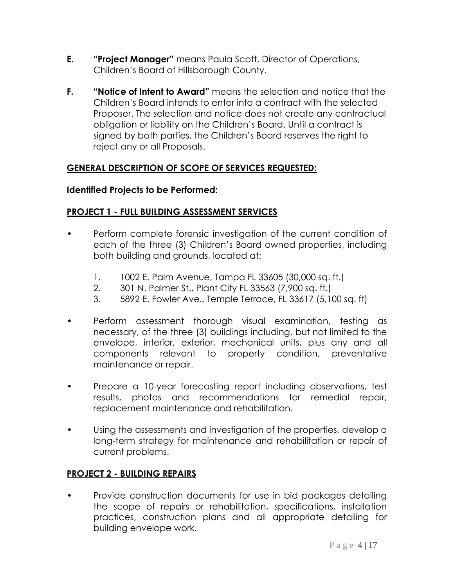- **E. "Project Manager"** means Paula Scott, Director of Operations, Children's Board of Hillsborough County.
- **F. "Notice of Intent to Award"** means the selection and notice that the Children's Board intends to enter into a contract with the selected Proposer. The selection and notice does not create any contractual obligation or liability on the Children's Board. Until a contract is signed by both parties, the Children's Board reserves the right to reject any or all Proposals.

## **GENERAL DESCRIPTION OF SCOPE OF SERVICES REQUESTED:**

#### **Identified Projects to be Performed:**

#### **PROJECT 1 - FULL BUILDING ASSESSMENT SERVICES**

- Perform complete forensic investigation of the current condition of each of the three (3) Children's Board owned properties, including both building and grounds, located at:
	- 1. 1002 E. Palm Avenue, Tampa FL 33605 (30,000 sq. ft.)
	- 2. 301 N. Palmer St., Plant City FL 33563 (7,900 sq. ft.)
	- 3. 5892 E. Fowler Ave., Temple Terrace, FL 33617 (5,100 sq. ft)
- Perform assessment thorough visual examination, testing as necessary, of the three (3) buildings including, but not limited to the envelope, interior, exterior, mechanical units, plus any and all components relevant to property condition, preventative maintenance or repair.
- Prepare a 10-year forecasting report including observations, test results, photos and recommendations for remedial repair, replacement maintenance and rehabilitation.
- Using the assessments and investigation of the properties, develop a long-term strategy for maintenance and rehabilitation or repair of current problems.

#### **PROJECT 2 - BUILDING REPAIRS**

• Provide construction documents for use in bid packages detailing the scope of repairs or rehabilitation, specifications, installation practices, construction plans and all appropriate detailing for building envelope work.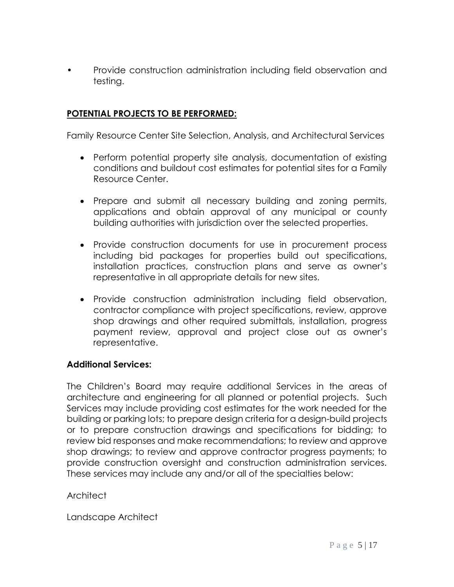• Provide construction administration including field observation and testing.

#### **POTENTIAL PROJECTS TO BE PERFORMED:**

Family Resource Center Site Selection, Analysis, and Architectural Services

- Perform potential property site analysis, documentation of existing conditions and buildout cost estimates for potential sites for a Family Resource Center.
- Prepare and submit all necessary building and zoning permits, applications and obtain approval of any municipal or county building authorities with jurisdiction over the selected properties.
- Provide construction documents for use in procurement process including bid packages for properties build out specifications, installation practices, construction plans and serve as owner's representative in all appropriate details for new sites.
- Provide construction administration including field observation, contractor compliance with project specifications, review, approve shop drawings and other required submittals, installation, progress payment review, approval and project close out as owner's representative.

#### **Additional Services:**

The Children's Board may require additional Services in the areas of architecture and engineering for all planned or potential projects. Such Services may include providing cost estimates for the work needed for the building or parking lots; to prepare design criteria for a design-build projects or to prepare construction drawings and specifications for bidding; to review bid responses and make recommendations; to review and approve shop drawings; to review and approve contractor progress payments; to provide construction oversight and construction administration services. These services may include any and/or all of the specialties below:

**Architect** 

Landscape Architect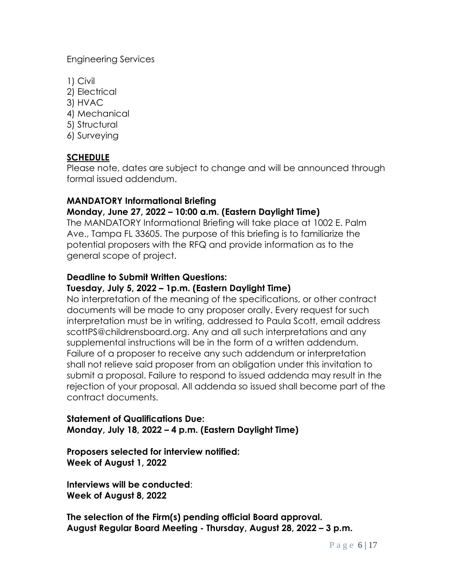Engineering Services

- 1) Civil
- 2) Electrical
- 3) HVAC
- 4) Mechanical
- 5) Structural
- 6) Surveying

## **SCHEDULE**

Please note, dates are subject to change and will be announced through formal issued addendum.

## **MANDATORY Informational Briefing**

## **Monday, June 27, 2022 – 10:00 a.m. (Eastern Daylight Time)**

The MANDATORY Informational Briefing will take place at 1002 E. Palm Ave., Tampa FL 33605. The purpose of this briefing is to familiarize the potential proposers with the RFQ and provide information as to the general scope of project.

## **Deadline to Submit Written Questions:**

## **Tuesday, July 5, 2022 – 1p.m. (Eastern Daylight Time)**

No interpretation of the meaning of the specifications, or other contract documents will be made to any proposer orally. Every request for such interpretation must be in writing, addressed to Paula Scott, email address scottPS@childrensboard.org. Any and all such interpretations and any supplemental instructions will be in the form of a written addendum. Failure of a proposer to receive any such addendum or interpretation shall not relieve said proposer from an obligation under this invitation to submit a proposal. Failure to respond to issued addenda may result in the rejection of your proposal. All addenda so issued shall become part of the contract documents.

#### **Statement of Qualifications Due: Monday, July 18, 2022 – 4 p.m. (Eastern Daylight Time)**

**Proposers selected for interview notified: Week of August 1, 2022**

**Interviews will be conducted**: **Week of August 8, 2022**

**The selection of the Firm(s) pending official Board approval. August Regular Board Meeting - Thursday, August 28, 2022 – 3 p.m.**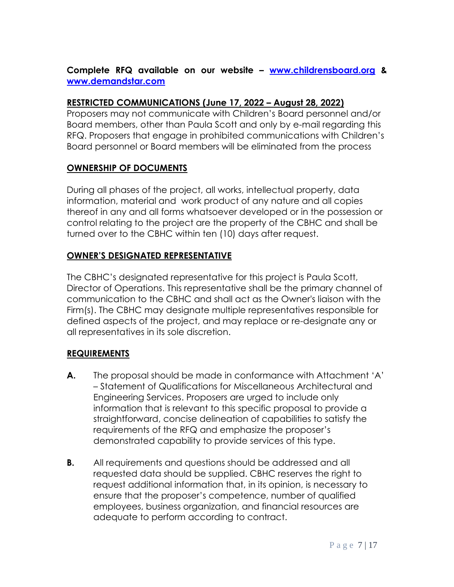## **Complete RFQ available on our website – [www.childrensboard.org](http://www.childrensboard.org/) & [www.demandstar.com](http://www.demandstar.com/)**

#### **RESTRICTED COMMUNICATIONS (June 17, 2022 – August 28, 2022)**

Proposers may not communicate with Children's Board personnel and/or Board members, other than Paula Scott and only by e-mail regarding this RFQ. Proposers that engage in prohibited communications with Children's Board personnel or Board members will be eliminated from the process

## **OWNERSHIP OF DOCUMENTS**

During all phases of the project, all works, intellectual property, data information, material and work product of any nature and all copies thereof in any and all forms whatsoever developed or in the possession or control relating to the project are the property of the CBHC and shall be turned over to the CBHC within ten (10) days after request.

## **OWNER'S DESIGNATED REPRESENTATIVE**

The CBHC's designated representative for this project is Paula Scott, Director of Operations. This representative shall be the primary channel of communication to the CBHC and shall act as the Owner's liaison with the Firm(s). The CBHC may designate multiple representatives responsible for defined aspects of the project, and may replace or re-designate any or all representatives in its sole discretion.

## **REQUIREMENTS**

- **A.** The proposal should be made in conformance with Attachment 'A' – Statement of Qualifications for Miscellaneous Architectural and Engineering Services. Proposers are urged to include only information that is relevant to this specific proposal to provide a straightforward, concise delineation of capabilities to satisfy the requirements of the RFQ and emphasize the proposer's demonstrated capability to provide services of this type.
- **B.** All requirements and questions should be addressed and all requested data should be supplied. CBHC reserves the right to request additional information that, in its opinion, is necessary to ensure that the proposer's competence, number of qualified employees, business organization, and financial resources are adequate to perform according to contract.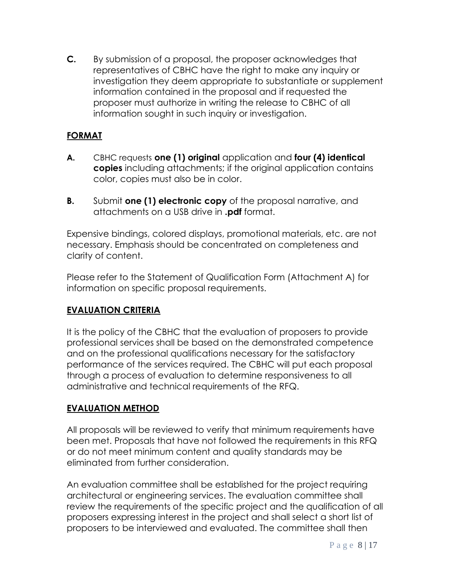**C.** By submission of a proposal, the proposer acknowledges that representatives of CBHC have the right to make any inquiry or investigation they deem appropriate to substantiate or supplement information contained in the proposal and if requested the proposer must authorize in writing the release to CBHC of all information sought in such inquiry or investigation.

## **FORMAT**

- **A.** CBHC requests **one (1) original** application and **four (4) identical copies** including attachments; if the original application contains color, copies must also be in color.
- **B.** Submit **one (1) electronic copy** of the proposal narrative, and attachments on a USB drive in **.pdf** format.

Expensive bindings, colored displays, promotional materials, etc. are not necessary. Emphasis should be concentrated on completeness and clarity of content.

Please refer to the Statement of Qualification Form (Attachment A) for information on specific proposal requirements.

## **EVALUATION CRITERIA**

It is the policy of the CBHC that the evaluation of proposers to provide professional services shall be based on the demonstrated competence and on the professional qualifications necessary for the satisfactory performance of the services required. The CBHC will put each proposal through a process of evaluation to determine responsiveness to all administrative and technical requirements of the RFQ.

#### **EVALUATION METHOD**

All proposals will be reviewed to verify that minimum requirements have been met. Proposals that have not followed the requirements in this RFQ or do not meet minimum content and quality standards may be eliminated from further consideration.

An evaluation committee shall be established for the project requiring architectural or engineering services. The evaluation committee shall review the requirements of the specific project and the qualification of all proposers expressing interest in the project and shall select a short list of proposers to be interviewed and evaluated. The committee shall then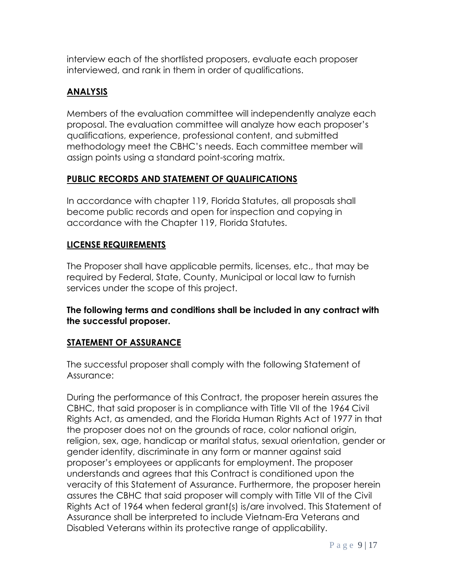interview each of the shortlisted proposers, evaluate each proposer interviewed, and rank in them in order of qualifications.

## **ANALYSIS**

Members of the evaluation committee will independently analyze each proposal. The evaluation committee will analyze how each proposer's qualifications, experience, professional content, and submitted methodology meet the CBHC's needs. Each committee member will assign points using a standard point-scoring matrix.

## **PUBLIC RECORDS AND STATEMENT OF QUALIFICATIONS**

In accordance with chapter 119, Florida Statutes, all proposals shall become public records and open for inspection and copying in accordance with the Chapter 119, Florida Statutes.

#### **LICENSE REQUIREMENTS**

The Proposer shall have applicable permits, licenses, etc., that may be required by Federal, State, County, Municipal or local law to furnish services under the scope of this project.

**The following terms and conditions shall be included in any contract with the successful proposer.** 

#### **STATEMENT OF ASSURANCE**

The successful proposer shall comply with the following Statement of Assurance:

During the performance of this Contract, the proposer herein assures the CBHC, that said proposer is in compliance with Title VII of the 1964 Civil Rights Act, as amended, and the Florida Human Rights Act of 1977 in that the proposer does not on the grounds of race, color national origin, religion, sex, age, handicap or marital status, sexual orientation, gender or gender identity, discriminate in any form or manner against said proposer's employees or applicants for employment. The proposer understands and agrees that this Contract is conditioned upon the veracity of this Statement of Assurance. Furthermore, the proposer herein assures the CBHC that said proposer will comply with Title VII of the Civil Rights Act of 1964 when federal grant(s) is/are involved. This Statement of Assurance shall be interpreted to include Vietnam-Era Veterans and Disabled Veterans within its protective range of applicability.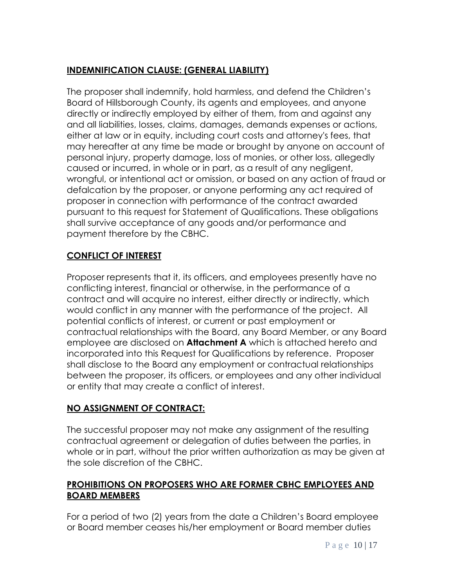## **INDEMNIFICATION CLAUSE: (GENERAL LIABILITY)**

The proposer shall indemnify, hold harmless, and defend the Children's Board of Hillsborough County, its agents and employees, and anyone directly or indirectly employed by either of them, from and against any and all liabilities, losses, claims, damages, demands expenses or actions, either at law or in equity, including court costs and attorney's fees, that may hereafter at any time be made or brought by anyone on account of personal injury, property damage, loss of monies, or other loss, allegedly caused or incurred, in whole or in part, as a result of any negligent, wrongful, or intentional act or omission, or based on any action of fraud or defalcation by the proposer, or anyone performing any act required of proposer in connection with performance of the contract awarded pursuant to this request for Statement of Qualifications. These obligations shall survive acceptance of any goods and/or performance and payment therefore by the CBHC.

## **CONFLICT OF INTEREST**

Proposer represents that it, its officers, and employees presently have no conflicting interest, financial or otherwise, in the performance of a contract and will acquire no interest, either directly or indirectly, which would conflict in any manner with the performance of the project. All potential conflicts of interest, or current or past employment or contractual relationships with the Board, any Board Member, or any Board employee are disclosed on **Attachment A** which is attached hereto and incorporated into this Request for Qualifications by reference. Proposer shall disclose to the Board any employment or contractual relationships between the proposer, its officers, or employees and any other individual or entity that may create a conflict of interest.

## **NO ASSIGNMENT OF CONTRACT:**

The successful proposer may not make any assignment of the resulting contractual agreement or delegation of duties between the parties, in whole or in part, without the prior written authorization as may be given at the sole discretion of the CBHC.

## **PROHIBITIONS ON PROPOSERS WHO ARE FORMER CBHC EMPLOYEES AND BOARD MEMBERS**

For a period of two (2) years from the date a Children's Board employee or Board member ceases his/her employment or Board member duties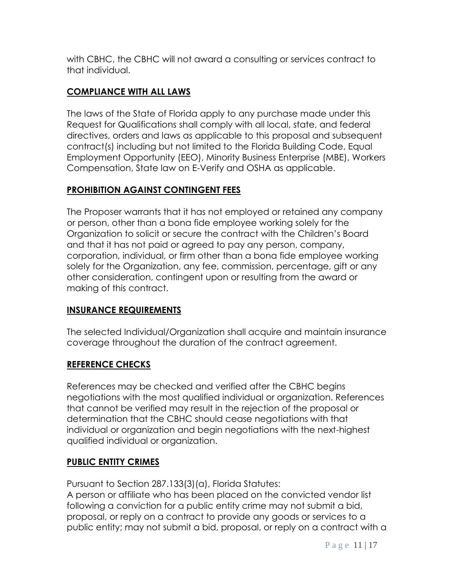with CBHC, the CBHC will not award a consulting or services contract to that individual.

## **COMPLIANCE WITH ALL LAWS**

The laws of the State of Florida apply to any purchase made under this Request for Qualifications shall comply with all local, state, and federal directives, orders and laws as applicable to this proposal and subsequent contract(s) including but not limited to the Florida Building Code, Equal Employment Opportunity (EEO), Minority Business Enterprise (MBE), Workers Compensation, State law on E-Verify and OSHA as applicable.

## **PROHIBITION AGAINST CONTINGENT FEES**

The Proposer warrants that it has not employed or retained any company or person, other than a bona fide employee working solely for the Organization to solicit or secure the contract with the Children's Board and that it has not paid or agreed to pay any person, company, corporation, individual, or firm other than a bona fide employee working solely for the Organization, any fee, commission, percentage, gift or any other consideration, contingent upon or resulting from the award or making of this contract.

## **INSURANCE REQUIREMENTS**

The selected Individual/Organization shall acquire and maintain insurance coverage throughout the duration of the contract agreement.

#### **REFERENCE CHECKS**

References may be checked and verified after the CBHC begins negotiations with the most qualified individual or organization. References that cannot be verified may result in the rejection of the proposal or determination that the CBHC should cease negotiations with that individual or organization and begin negotiations with the next-highest qualified individual or organization.

## **PUBLIC ENTITY CRIMES**

Pursuant to Section 287.133(3)(a), Florida Statutes:

A person or affiliate who has been placed on the convicted vendor list following a conviction for a public entity crime may not submit a bid, proposal, or reply on a contract to provide any goods or services to a public entity; may not submit a bid, proposal, or reply on a contract with a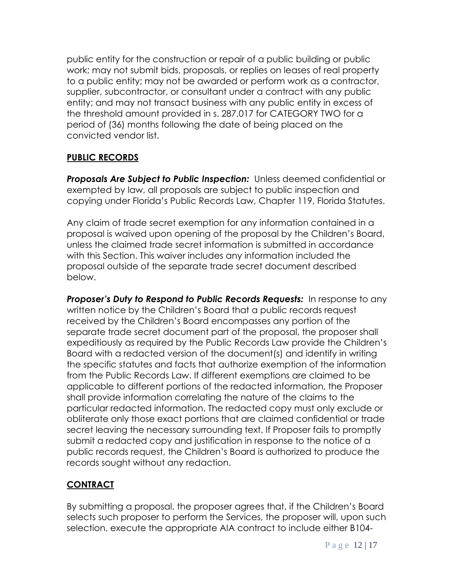public entity for the construction or repair of a public building or public work; may not submit bids, proposals, or replies on leases of real property to a public entity; may not be awarded or perform work as a contractor, supplier, subcontractor, or consultant under a contract with any public entity; and may not transact business with any public entity in excess of the threshold amount provided in s. 287.017 for CATEGORY TWO for a period of (36) months following the date of being placed on the convicted vendor list.

## **PUBLIC RECORDS**

**Proposals Are Subject to Public Inspection:** Unless deemed confidential or exempted by law, all proposals are subject to public inspection and copying under Florida's Public Records Law, Chapter 119, Florida Statutes.

Any claim of trade secret exemption for any information contained in a proposal is waived upon opening of the proposal by the Children's Board, unless the claimed trade secret information is submitted in accordance with this Section. This waiver includes any information included the proposal outside of the separate trade secret document described below.

**Proposer's Duty to Respond to Public Records Requests:** In response to any written notice by the Children's Board that a public records request received by the Children's Board encompasses any portion of the separate trade secret document part of the proposal, the proposer shall expeditiously as required by the Public Records Law provide the Children's Board with a redacted version of the document(s) and identify in writing the specific statutes and facts that authorize exemption of the information from the Public Records Law. If different exemptions are claimed to be applicable to different portions of the redacted information, the Proposer shall provide information correlating the nature of the claims to the particular redacted information. The redacted copy must only exclude or obliterate only those exact portions that are claimed confidential or trade secret leaving the necessary surrounding text. If Proposer fails to promptly submit a redacted copy and justification in response to the notice of a public records request, the Children's Board is authorized to produce the records sought without any redaction.

## **CONTRACT**

By submitting a proposal, the proposer agrees that, if the Children's Board selects such proposer to perform the Services, the proposer will, upon such selection, execute the appropriate AIA contract to include either B104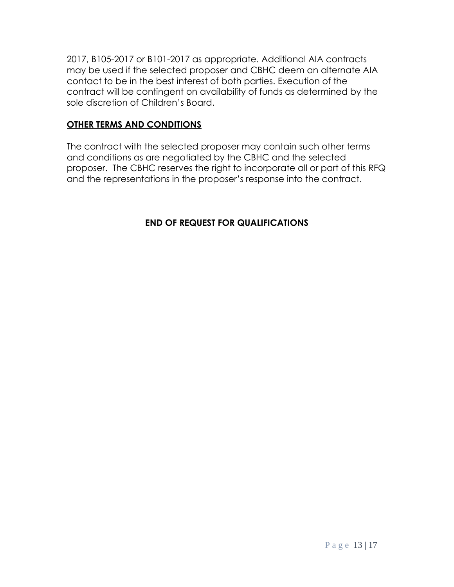2017, B105-2017 or B101-2017 as appropriate. Additional AIA contracts may be used if the selected proposer and CBHC deem an alternate AIA contact to be in the best interest of both parties. Execution of the contract will be contingent on availability of funds as determined by the sole discretion of Children's Board.

## **OTHER TERMS AND CONDITIONS**

The contract with the selected proposer may contain such other terms and conditions as are negotiated by the CBHC and the selected proposer. The CBHC reserves the right to incorporate all or part of this RFQ and the representations in the proposer's response into the contract.

## **END OF REQUEST FOR QUALIFICATIONS**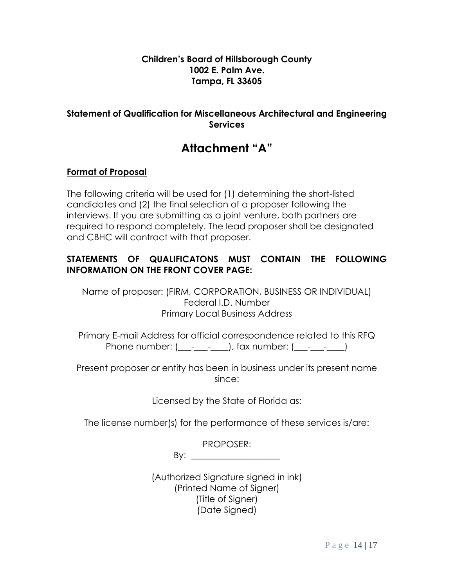#### **Children's Board of Hillsborough County 1002 E. Palm Ave. Tampa, FL 33605**

#### **Statement of Qualification for Miscellaneous Architectural and Engineering Services**

# **Attachment "A"**

#### **Format of Proposal**

The following criteria will be used for (1) determining the short-listed candidates and (2) the final selection of a proposer following the interviews. If you are submitting as a joint venture, both partners are required to respond completely. The lead proposer shall be designated and CBHC will contract with that proposer.

#### **STATEMENTS OF QUALIFICATONS MUST CONTAIN THE FOLLOWING INFORMATION ON THE FRONT COVER PAGE:**

Name of proposer: (FIRM, CORPORATION, BUSINESS OR INDIVIDUAL) Federal I.D. Number Primary Local Business Address

Primary E-mail Address for official correspondence related to this RFQ Phone number:  $($   $)$ , fax number:  $($   $)$ 

Present proposer or entity has been in business under its present name since:

Licensed by the State of Florida as:

The license number(s) for the performance of these services is/are:

PROPOSER:

By: \_\_\_\_\_\_\_\_\_\_\_\_\_\_\_\_\_\_\_\_

(Authorized Signature signed in ink) (Printed Name of Signer) (Title of Signer) (Date Signed)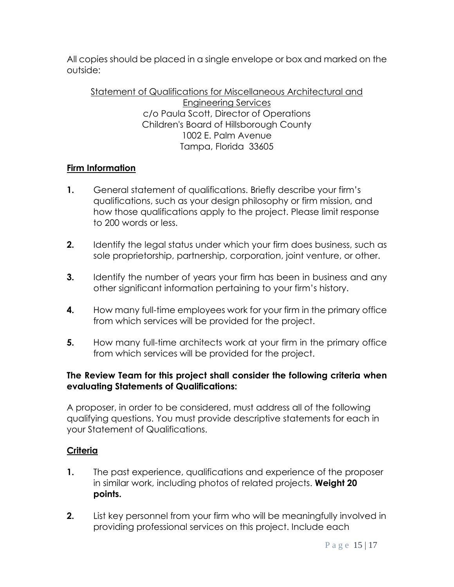All copies should be placed in a single envelope or box and marked on the outside:

Statement of Qualifications for Miscellaneous Architectural and Engineering Services c/o Paula Scott, Director of Operations Children's Board of Hillsborough County 1002 E. Palm Avenue Tampa, Florida 33605

## **Firm Information**

- **1.** General statement of qualifications. Briefly describe your firm's qualifications, such as your design philosophy or firm mission, and how those qualifications apply to the project. Please limit response to 200 words or less.
- **2.** Identify the legal status under which your firm does business, such as sole proprietorship, partnership, corporation, joint venture, or other.
- **3.** Identify the number of years your firm has been in business and any other significant information pertaining to your firm's history.
- **4.** How many full-time employees work for your firm in the primary office from which services will be provided for the project.
- **5.** How many full-time architects work at your firm in the primary office from which services will be provided for the project.

#### **The Review Team for this project shall consider the following criteria when evaluating Statements of Qualifications:**

A proposer, in order to be considered, must address all of the following qualifying questions. You must provide descriptive statements for each in your Statement of Qualifications.

#### **Criteria**

- **1.** The past experience, qualifications and experience of the proposer in similar work, including photos of related projects. **Weight 20 points.**
- **2.** List key personnel from your firm who will be meaningfully involved in providing professional services on this project. Include each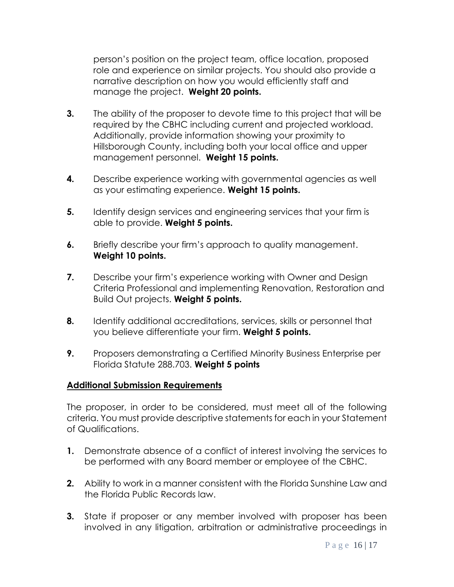person's position on the project team, office location, proposed role and experience on similar projects. You should also provide a narrative description on how you would efficiently staff and manage the project. **Weight 20 points.**

- **3.** The ability of the proposer to devote time to this project that will be required by the CBHC including current and projected workload. Additionally, provide information showing your proximity to Hillsborough County, including both your local office and upper management personnel. **Weight 15 points.**
- **4.** Describe experience working with governmental agencies as well as your estimating experience. **Weight 15 points.**
- **5.** Identify design services and engineering services that your firm is able to provide. **Weight 5 points.**
- **6.** Briefly describe your firm's approach to quality management. **Weight 10 points.**
- **7.** Describe your firm's experience working with Owner and Design Criteria Professional and implementing Renovation, Restoration and Build Out projects. **Weight 5 points.**
- **8.** Identify additional accreditations, services, skills or personnel that you believe differentiate your firm. **Weight 5 points.**
- **9.** Proposers demonstrating a Certified Minority Business Enterprise per Florida Statute 288.703. **Weight 5 points**

#### **Additional Submission Requirements**

The proposer, in order to be considered, must meet all of the following criteria. You must provide descriptive statements for each in your Statement of Qualifications.

- **1.** Demonstrate absence of a conflict of interest involving the services to be performed with any Board member or employee of the CBHC.
- **2.** Ability to work in a manner consistent with the Florida Sunshine Law and the Florida Public Records law.
- **3.** State if proposer or any member involved with proposer has been involved in any litigation, arbitration or administrative proceedings in